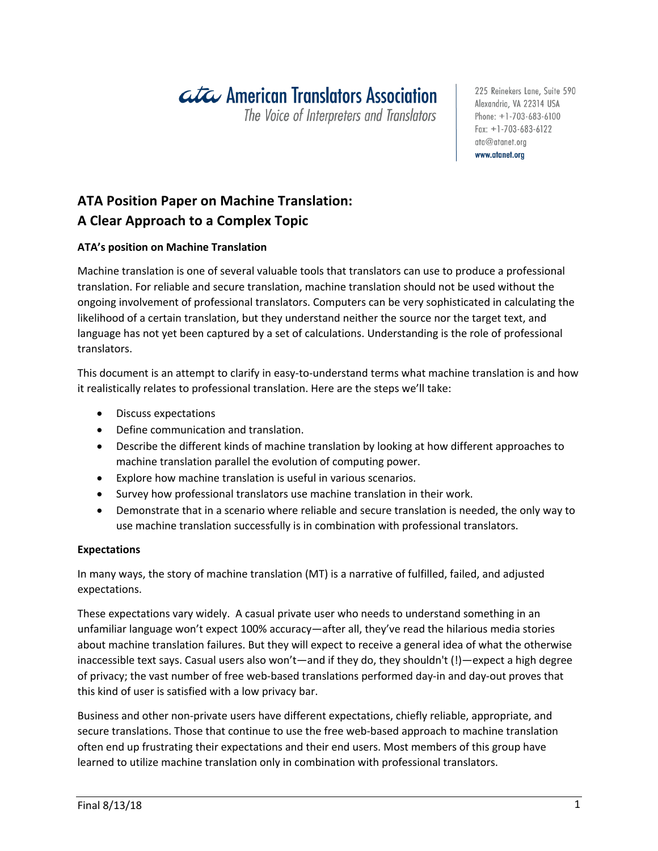# ata American Translators Association

The Voice of Interpreters and Translators

225 Reinekers Lane, Suite 590 Alexandria, VA 22314 USA Phone:  $+1-703-683-6100$  $Fax: +1-703-683-6122$ ata@atanet.org www.atanet.org

# **ATA Position Paper on Machine Translation: A Clear Approach to a Complex Topic**

#### **ATA's position on Machine Translation**

Machine translation is one of several valuable tools that translators can use to produce a professional translation. For reliable and secure translation, machine translation should not be used without the ongoing involvement of professional translators. Computers can be very sophisticated in calculating the likelihood of a certain translation, but they understand neither the source nor the target text, and language has not yet been captured by a set of calculations. Understanding is the role of professional translators.

This document is an attempt to clarify in easy-to-understand terms what machine translation is and how it realistically relates to professional translation. Here are the steps we'll take:

- Discuss expectations
- Define communication and translation.
- Describe the different kinds of machine translation by looking at how different approaches to machine translation parallel the evolution of computing power.
- Explore how machine translation is useful in various scenarios.
- Survey how professional translators use machine translation in their work.
- Demonstrate that in a scenario where reliable and secure translation is needed, the only way to use machine translation successfully is in combination with professional translators.

#### **Expectations**

In many ways, the story of machine translation (MT) is a narrative of fulfilled, failed, and adjusted expectations.

These expectations vary widely. A casual private user who needs to understand something in an unfamiliar language won't expect 100% accuracy—after all, they've read the hilarious media stories about machine translation failures. But they will expect to receive a general idea of what the otherwise inaccessible text says. Casual users also won't—and if they do, they shouldn't (!)—expect a high degree of privacy; the vast number of free web-based translations performed day-in and day-out proves that this kind of user is satisfied with a low privacy bar.

Business and other non-private users have different expectations, chiefly reliable, appropriate, and secure translations. Those that continue to use the free web-based approach to machine translation often end up frustrating their expectations and their end users. Most members of this group have learned to utilize machine translation only in combination with professional translators.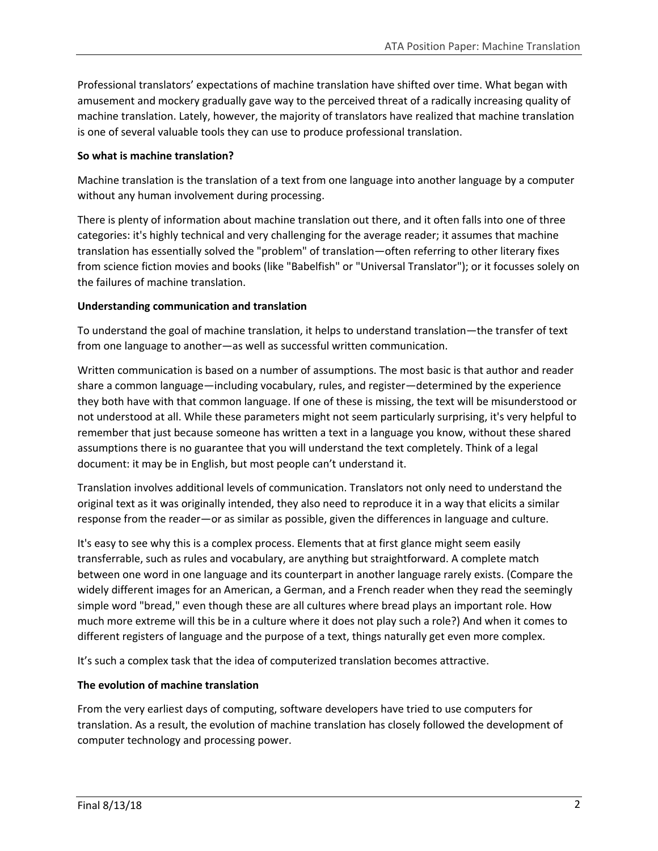Professional translators' expectations of machine translation have shifted over time. What began with amusement and mockery gradually gave way to the perceived threat of a radically increasing quality of machine translation. Lately, however, the majority of translators have realized that machine translation is one of several valuable tools they can use to produce professional translation.

#### **So what is machine translation?**

Machine translation is the translation of a text from one language into another language by a computer without any human involvement during processing.

There is plenty of information about machine translation out there, and it often falls into one of three categories: it's highly technical and very challenging for the average reader; it assumes that machine translation has essentially solved the "problem" of translation—often referring to other literary fixes from science fiction movies and books (like "Babelfish" or "Universal Translator"); or it focusses solely on the failures of machine translation.

#### **Understanding communication and translation**

To understand the goal of machine translation, it helps to understand translation—the transfer of text from one language to another—as well as successful written communication.

Written communication is based on a number of assumptions. The most basic is that author and reader share a common language—including vocabulary, rules, and register—determined by the experience they both have with that common language. If one of these is missing, the text will be misunderstood or not understood at all. While these parameters might not seem particularly surprising, it's very helpful to remember that just because someone has written a text in a language you know, without these shared assumptions there is no guarantee that you will understand the text completely. Think of a legal document: it may be in English, but most people can't understand it.

Translation involves additional levels of communication. Translators not only need to understand the original text as it was originally intended, they also need to reproduce it in a way that elicits a similar response from the reader—or as similar as possible, given the differences in language and culture.

It's easy to see why this is a complex process. Elements that at first glance might seem easily transferrable, such as rules and vocabulary, are anything but straightforward. A complete match between one word in one language and its counterpart in another language rarely exists. (Compare the widely different images for an American, a German, and a French reader when they read the seemingly simple word "bread," even though these are all cultures where bread plays an important role. How much more extreme will this be in a culture where it does not play such a role?) And when it comes to different registers of language and the purpose of a text, things naturally get even more complex.

It's such a complex task that the idea of computerized translation becomes attractive.

#### **The evolution of machine translation**

From the very earliest days of computing, software developers have tried to use computers for translation. As a result, the evolution of machine translation has closely followed the development of computer technology and processing power.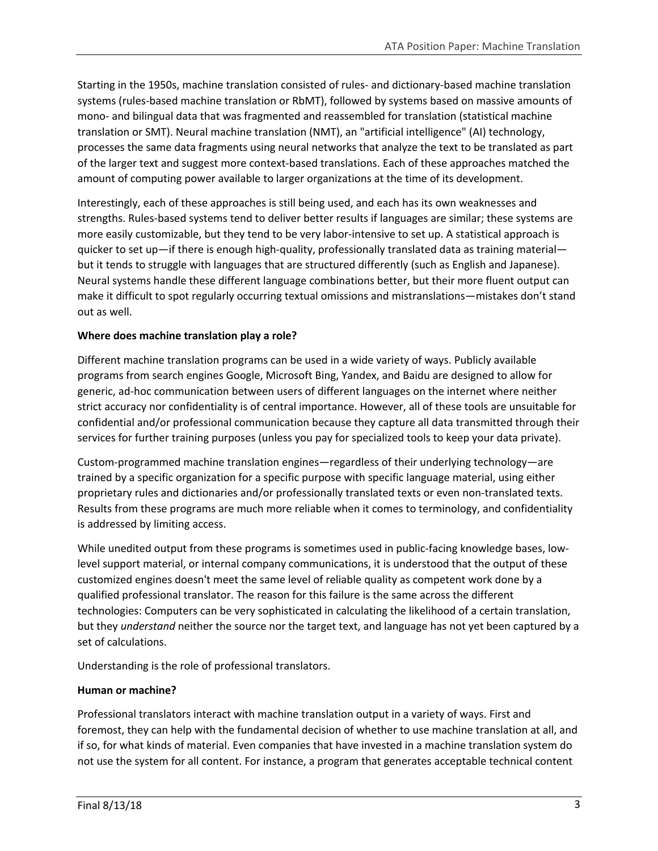Starting in the 1950s, machine translation consisted of rules- and dictionary-based machine translation systems (rules-based machine translation or RbMT), followed by systems based on massive amounts of mono- and bilingual data that was fragmented and reassembled for translation (statistical machine translation or SMT). Neural machine translation (NMT), an "artificial intelligence" (AI) technology, processes the same data fragments using neural networks that analyze the text to be translated as part of the larger text and suggest more context-based translations. Each of these approaches matched the amount of computing power available to larger organizations at the time of its development.

Interestingly, each of these approaches is still being used, and each has its own weaknesses and strengths. Rules-based systems tend to deliver better results if languages are similar; these systems are more easily customizable, but they tend to be very labor-intensive to set up. A statistical approach is quicker to set up—if there is enough high-quality, professionally translated data as training material but it tends to struggle with languages that are structured differently (such as English and Japanese). Neural systems handle these different language combinations better, but their more fluent output can make it difficult to spot regularly occurring textual omissions and mistranslations—mistakes don't stand out as well.

### **Where does machine translation play a role?**

Different machine translation programs can be used in a wide variety of ways. Publicly available programs from search engines Google, Microsoft Bing, Yandex, and Baidu are designed to allow for generic, ad-hoc communication between users of different languages on the internet where neither strict accuracy nor confidentiality is of central importance. However, all of these tools are unsuitable for confidential and/or professional communication because they capture all data transmitted through their services for further training purposes (unless you pay for specialized tools to keep your data private).

Custom-programmed machine translation engines—regardless of their underlying technology—are trained by a specific organization for a specific purpose with specific language material, using either proprietary rules and dictionaries and/or professionally translated texts or even non-translated texts. Results from these programs are much more reliable when it comes to terminology, and confidentiality is addressed by limiting access.

While unedited output from these programs is sometimes used in public-facing knowledge bases, lowlevel support material, or internal company communications, it is understood that the output of these customized engines doesn't meet the same level of reliable quality as competent work done by a qualified professional translator. The reason for this failure is the same across the different technologies: Computers can be very sophisticated in calculating the likelihood of a certain translation, but they *understand* neither the source nor the target text, and language has not yet been captured by a set of calculations.

Understanding is the role of professional translators.

# **Human or machine?**

Professional translators interact with machine translation output in a variety of ways. First and foremost, they can help with the fundamental decision of whether to use machine translation at all, and if so, for what kinds of material. Even companies that have invested in a machine translation system do not use the system for all content. For instance, a program that generates acceptable technical content